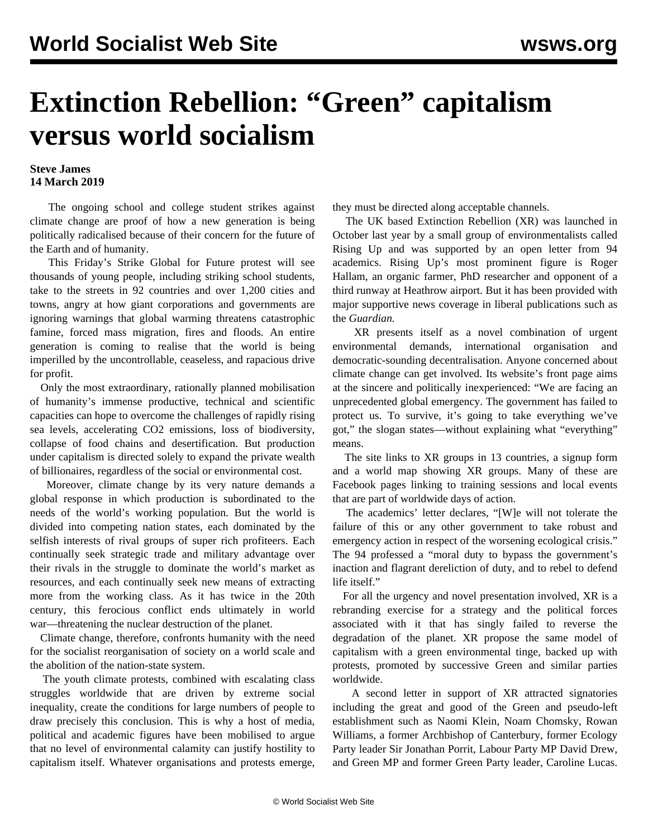## **Extinction Rebellion: "Green" capitalism versus world socialism**

## **Steve James 14 March 2019**

 The ongoing school and college student strikes against climate change are proof of how a new generation is being politically radicalised because of their concern for the future of the Earth and of humanity.

 This Friday's Strike Global for Future protest will see thousands of young people, including striking school students, take to the streets in 92 countries and over 1,200 cities and towns, angry at how giant corporations and governments are ignoring warnings that global warming threatens catastrophic famine, forced mass migration, fires and floods. An entire generation is coming to realise that the world is being imperilled by the uncontrollable, ceaseless, and rapacious drive for profit.

 Only the most extraordinary, rationally planned mobilisation of humanity's immense productive, technical and scientific capacities can hope to overcome the challenges of rapidly rising sea levels, accelerating CO2 emissions, loss of biodiversity, collapse of food chains and desertification. But production under capitalism is directed solely to expand the private wealth of billionaires, regardless of the social or environmental cost.

 Moreover, climate change by its very nature demands a global response in which production is subordinated to the needs of the world's working population. But the world is divided into competing nation states, each dominated by the selfish interests of rival groups of super rich profiteers. Each continually seek strategic trade and military advantage over their rivals in the struggle to dominate the world's market as resources, and each continually seek new means of extracting more from the working class. As it has twice in the 20th century, this ferocious conflict ends ultimately in world war—threatening the nuclear destruction of the planet.

 Climate change, therefore, confronts humanity with the need for the socialist reorganisation of society on a world scale and the abolition of the nation-state system.

 The youth climate protests, combined with escalating class struggles worldwide that are driven by extreme social inequality, create the conditions for large numbers of people to draw precisely this conclusion. This is why a host of media, political and academic figures have been mobilised to argue that no level of environmental calamity can justify hostility to capitalism itself. Whatever organisations and protests emerge, they must be directed along acceptable channels.

 The UK based Extinction Rebellion (XR) was launched in October last year by a small group of environmentalists called Rising Up and was supported by an open letter from 94 academics. Rising Up's most prominent figure is Roger Hallam, an organic farmer, PhD researcher and opponent of a third runway at Heathrow airport. But it has been provided with major supportive news coverage in liberal publications such as the *Guardian.*

 XR presents itself as a novel combination of urgent environmental demands, international organisation and democratic-sounding decentralisation. Anyone concerned about climate change can get involved. Its website's front page aims at the sincere and politically inexperienced: "We are facing an unprecedented global emergency. The government has failed to protect us. To survive, it's going to take everything we've got," the slogan states—without explaining what "everything" means.

 The site links to XR groups in 13 countries, a signup form and a world map showing XR groups. Many of these are Facebook pages linking to training sessions and local events that are part of worldwide days of action.

 The academics' letter declares, "[W]e will not tolerate the failure of this or any other government to take robust and emergency action in respect of the worsening ecological crisis." The 94 professed a "moral duty to bypass the government's inaction and flagrant dereliction of duty, and to rebel to defend life itself"

 For all the urgency and novel presentation involved, XR is a rebranding exercise for a strategy and the political forces associated with it that has singly failed to reverse the degradation of the planet. XR propose the same model of capitalism with a green environmental tinge, backed up with protests, promoted by successive Green and similar parties worldwide.

 A second letter in support of XR attracted signatories including the great and good of the Green and pseudo-left establishment such as Naomi Klein, Noam Chomsky, Rowan Williams, a former Archbishop of Canterbury, former Ecology Party leader Sir Jonathan Porrit, Labour Party MP David Drew, and Green MP and former Green Party leader, Caroline Lucas.